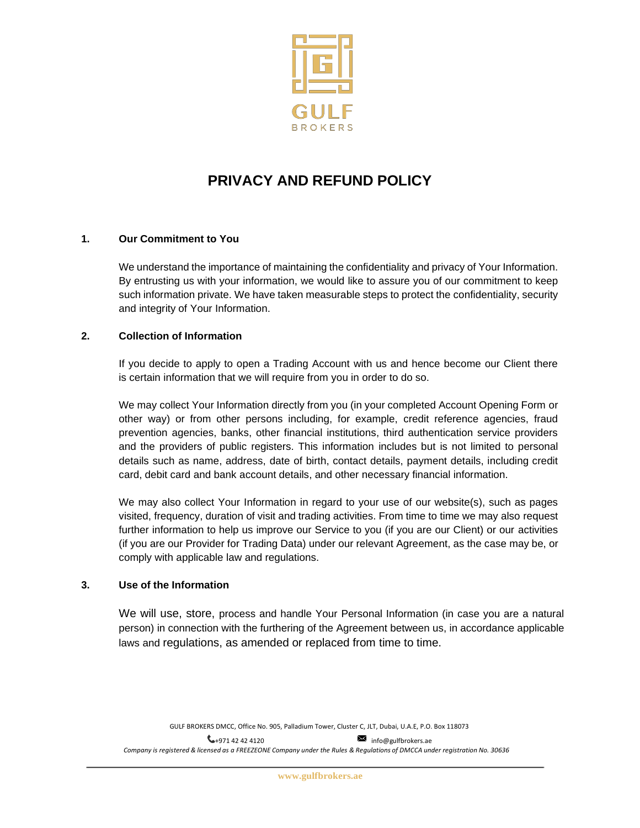

# **PRIVACY AND REFUND POLICY**

# **1. Our Commitment to You**

We understand the importance of maintaining the confidentiality and privacy of Your Information. By entrusting us with your information, we would like to assure you of our commitment to keep such information private. We have taken measurable steps to protect the confidentiality, security and integrity of Your Information.

# **2. Collection of Information**

If you decide to apply to open a Trading Account with us and hence become our Client there is certain information that we will require from you in order to do so.

We may collect Your Information directly from you (in your completed Account Opening Form or other way) or from other persons including, for example, credit reference agencies, fraud prevention agencies, banks, other financial institutions, third authentication service providers and the providers of public registers. This information includes but is not limited to personal details such as name, address, date of birth, contact details, payment details, including credit card, debit card and bank account details, and other necessary financial information.

We may also collect Your Information in regard to your use of our website(s), such as pages visited, frequency, duration of visit and trading activities. From time to time we may also request further information to help us improve our Service to you (if you are our Client) or our activities (if you are our Provider for Trading Data) under our relevant Agreement, as the case may be, or comply with applicable law and regulations.

# **3. Use of the Information**

We will use, store, process and handle Your Personal Information (in case you are a natural person) in connection with the furthering of the Agreement between us, in accordance applicable laws and regulations, as amended or replaced from time to time.

GULF BROKERS DMCC, Office No. 905, Palladium Tower, Cluster C, JLT, Dubai, U.A.E, P.O. Box 118073

 $\leftarrow$ +971 42 42 4120 [info@gulfbrokers.ae](mailto:info@gulfbrokers.ae) Company is registered & licensed as a FREEZEONE Company under the Rules & Regulations of DMCCA under registration No. 30636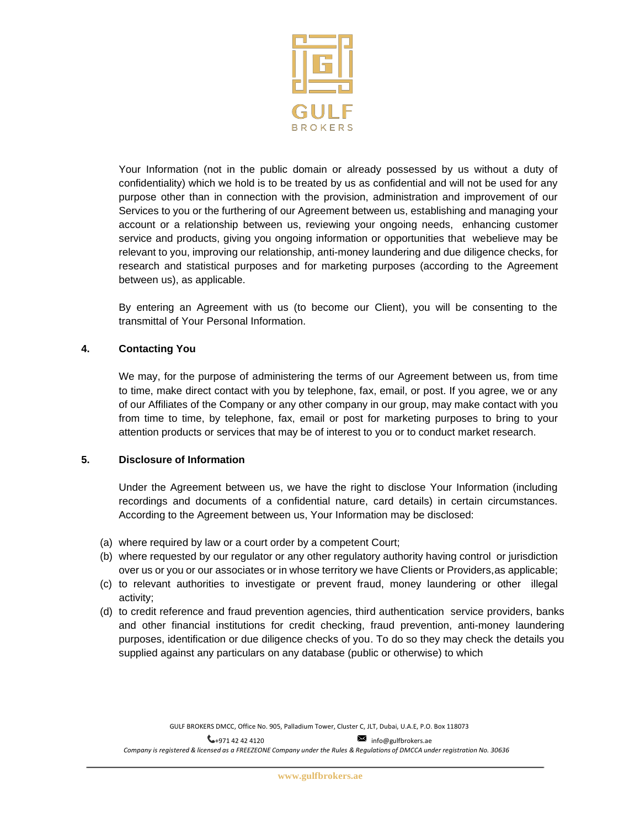

Your Information (not in the public domain or already possessed by us without a duty of confidentiality) which we hold is to be treated by us as confidential and will not be used for any purpose other than in connection with the provision, administration and improvement of our Services to you or the furthering of our Agreement between us, establishing and managing your account or a relationship between us, reviewing your ongoing needs, enhancing customer service and products, giving you ongoing information or opportunities that webelieve may be relevant to you, improving our relationship, anti-money laundering and due diligence checks, for research and statistical purposes and for marketing purposes (according to the Agreement between us), as applicable.

By entering an Agreement with us (to become our Client), you will be consenting to the transmittal of Your Personal Information.

# **4. Contacting You**

We may, for the purpose of administering the terms of our Agreement between us, from time to time, make direct contact with you by telephone, fax, email, or post. If you agree, we or any of our Affiliates of the Company or any other company in our group, may make contact with you from time to time, by telephone, fax, email or post for marketing purposes to bring to your attention products or services that may be of interest to you or to conduct market research.

## **5. Disclosure of Information**

Under the Agreement between us, we have the right to disclose Your Information (including recordings and documents of a confidential nature, card details) in certain circumstances. According to the Agreement between us, Your Information may be disclosed:

- (a) where required by law or a court order by a competent Court;
- (b) where requested by our regulator or any other regulatory authority having control or jurisdiction over us or you or our associates or in whose territory we have Clients or Providers,as applicable;
- (c) to relevant authorities to investigate or prevent fraud, money laundering or other illegal activity;
- (d) to credit reference and fraud prevention agencies, third authentication service providers, banks and other financial institutions for credit checking, fraud prevention, anti-money laundering purposes, identification or due diligence checks of you. To do so they may check the details you supplied against any particulars on any database (public or otherwise) to which

GULF BROKERS DMCC, Office No. 905, Palladium Tower, Cluster C, JLT, Dubai, U.A.E, P.O. Box 118073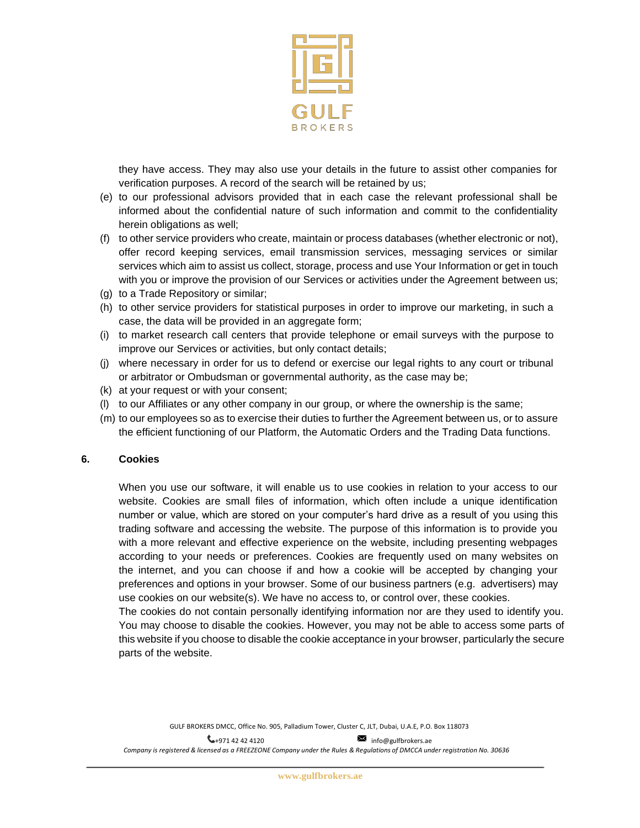

they have access. They may also use your details in the future to assist other companies for verification purposes. A record of the search will be retained by us;

- (e) to our professional advisors provided that in each case the relevant professional shall be informed about the confidential nature of such information and commit to the confidentiality herein obligations as well;
- (f) to other service providers who create, maintain or process databases (whether electronic or not), offer record keeping services, email transmission services, messaging services or similar services which aim to assist us collect, storage, process and use Your Information or get in touch with you or improve the provision of our Services or activities under the Agreement between us;
- (g) to a Trade Repository or similar;
- (h) to other service providers for statistical purposes in order to improve our marketing, in such a case, the data will be provided in an aggregate form;
- (i) to market research call centers that provide telephone or email surveys with the purpose to improve our Services or activities, but only contact details;
- (j) where necessary in order for us to defend or exercise our legal rights to any court or tribunal or arbitrator or Ombudsman or governmental authority, as the case may be;
- (k) at your request or with your consent;
- (l) to our Affiliates or any other company in our group, or where the ownership is the same;
- (m) to our employees so as to exercise their duties to further the Agreement between us, or to assure the efficient functioning of our Platform, the Automatic Orders and the Trading Data functions.

## **6. Cookies**

When you use our software, it will enable us to use cookies in relation to your access to our website. Cookies are small files of information, which often include a unique identification number or value, which are stored on your computer's hard drive as a result of you using this trading software and accessing the website. The purpose of this information is to provide you with a more relevant and effective experience on the website, including presenting webpages according to your needs or preferences. Cookies are frequently used on many websites on the internet, and you can choose if and how a cookie will be accepted by changing your preferences and options in your browser. Some of our business partners (e.g. advertisers) may use cookies on our website(s). We have no access to, or control over, these cookies.

The cookies do not contain personally identifying information nor are they used to identify you. You may choose to disable the cookies. However, you may not be able to access some parts of this website if you choose to disable the cookie acceptance in your browser, particularly the secure parts of the website.

GULF BROKERS DMCC, Office No. 905, Palladium Tower, Cluster C, JLT, Dubai, U.A.E, P.O. Box 118073

 $\leftarrow$ +971 42 42 4120 [info@gulfbrokers.ae](mailto:info@gulfbrokers.ae) Company is registered & licensed as a FREEZEONE Company under the Rules & Regulations of DMCCA under registration No. 30636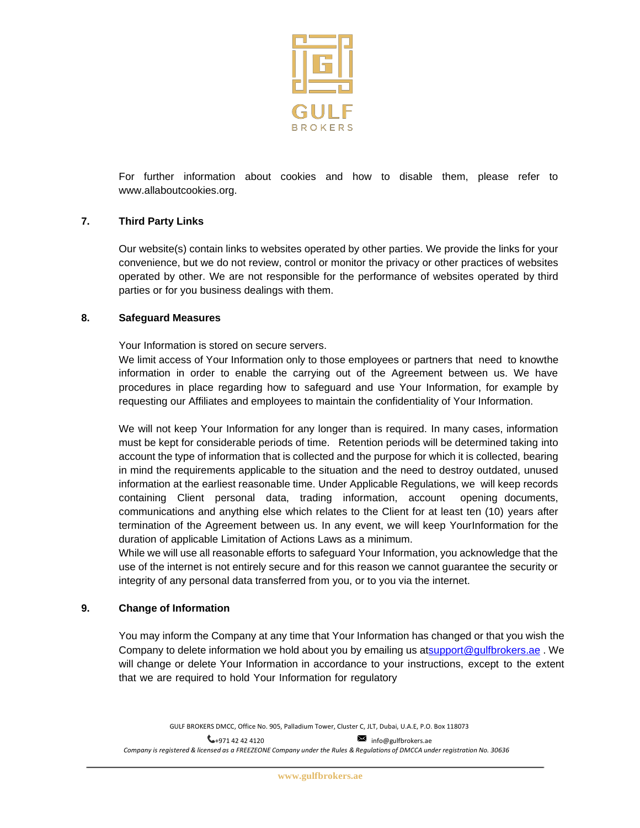

For further information about cookies and how to disable them, please refer to [www.allaboutcookies.org.](http://www.allaboutcookies.org/)

# **7. Third Party Links**

Our website(s) contain links to websites operated by other parties. We provide the links for your convenience, but we do not review, control or monitor the privacy or other practices of websites operated by other. We are not responsible for the performance of websites operated by third parties or for you business dealings with them.

## **8. Safeguard Measures**

Your Information is stored on secure servers.

We limit access of Your Information only to those employees or partners that need to knowthe information in order to enable the carrying out of the Agreement between us. We have procedures in place regarding how to safeguard and use Your Information, for example by requesting our Affiliates and employees to maintain the confidentiality of Your Information.

We will not keep Your Information for any longer than is required. In many cases, information must be kept for considerable periods of time. Retention periods will be determined taking into account the type of information that is collected and the purpose for which it is collected, bearing in mind the requirements applicable to the situation and the need to destroy outdated, unused information at the earliest reasonable time. Under Applicable Regulations, we will keep records containing Client personal data, trading information, account opening documents, communications and anything else which relates to the Client for at least ten (10) years after termination of the Agreement between us. In any event, we will keep YourInformation for the duration of applicable Limitation of Actions Laws as a minimum.

While we will use all reasonable efforts to safeguard Your Information, you acknowledge that the use of the internet is not entirely secure and for this reason we cannot guarantee the security or integrity of any personal data transferred from you, or to you via the internet.

## **9. Change of Information**

You may inform the Company at any time that Your Information has changed or that you wish the Company to delete information we hold about you by emailing us a[tsupport@gulfbrokers.ae](mailto:support@gulfbrokers.ae) . We will change or delete Your Information in accordance to your instructions, except to the extent that we are required to hold Your Information for regulatory

GULF BROKERS DMCC, Office No. 905, Palladium Tower, Cluster C, JLT, Dubai, U.A.E, P.O. Box 118073

 $\leftarrow$ +971 42 42 4120 [info@gulfbrokers.ae](mailto:info@gulfbrokers.ae) Company is registered & licensed as a FREEZEONE Company under the Rules & Regulations of DMCCA under registration No. 30636